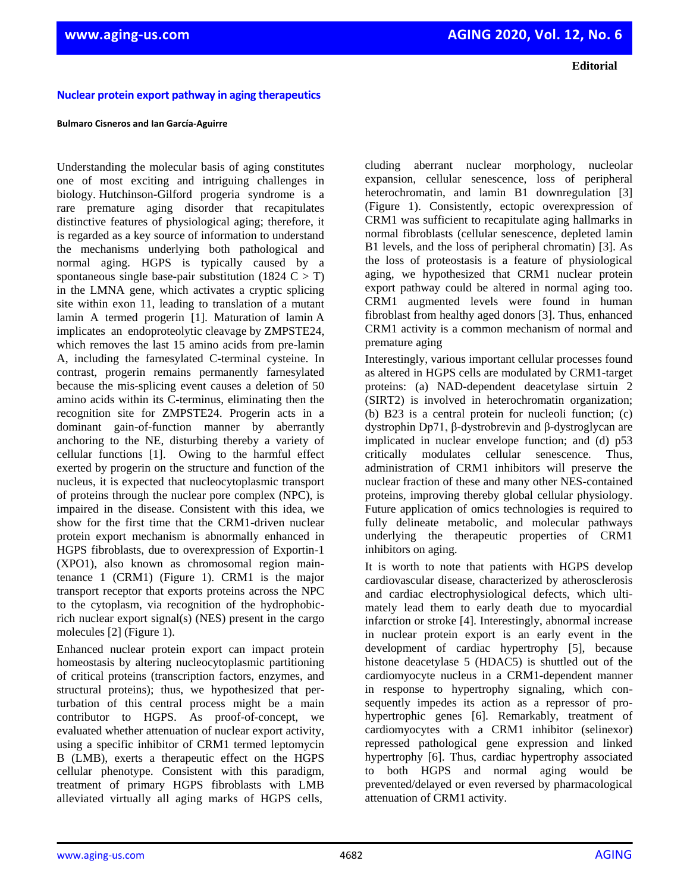**Editorial**

## **Nuclear protein export pathway in aging therapeutics**

## **Bulmaro Cisneros and Ian García-Aguirre**

Understanding the molecular basis of aging constitutes one of most exciting and intriguing challenges in biology. Hutchinson-Gilford progeria syndrome is a rare premature aging disorder that recapitulates distinctive features of physiological aging; therefore, it is regarded as a key source of information to understand the mechanisms underlying both pathological and normal aging. HGPS is typically caused by a spontaneous single base-pair substitution (1824  $C > T$ ) in the LMNA gene, which activates a cryptic splicing site within exon 11, leading to translation of a mutant lamin A termed progerin [1]. Maturation of lamin A implicates an endoproteolytic cleavage by ZMPSTE24, which removes the last 15 amino acids from pre-lamin A, including the farnesylated C-terminal cysteine. In contrast, progerin remains permanently farnesylated because the mis-splicing event causes a deletion of 50 amino acids within its C-terminus, eliminating then the recognition site for ZMPSTE24. Progerin acts in a dominant gain-of-function manner by aberrantly anchoring to the NE, disturbing thereby a variety of cellular functions [1]. Owing to the harmful effect exerted by progerin on the structure and function of the nucleus, it is expected that nucleocytoplasmic transport of proteins through the nuclear pore complex (NPC), is impaired in the disease. Consistent with this idea, we show for the first time that the CRM1-driven nuclear protein export mechanism is abnormally enhanced in HGPS fibroblasts, due to overexpression of Exportin-1 (XPO1), also known as chromosomal region maintenance 1 (CRM1) (Figure 1). CRM1 is the major transport receptor that exports proteins across the NPC to the cytoplasm, via recognition of the hydrophobicrich nuclear export signal(s) (NES) present in the cargo molecules [2] (Figure 1).

Enhanced nuclear protein export can impact protein homeostasis by altering nucleocytoplasmic partitioning of critical proteins (transcription factors, enzymes, and structural proteins); thus, we hypothesized that perturbation of this central process might be a main contributor to HGPS. As proof-of-concept, we evaluated whether attenuation of nuclear export activity, using a specific inhibitor of CRM1 termed leptomycin B (LMB), exerts a therapeutic effect on the HGPS cellular phenotype. Consistent with this paradigm, treatment of primary HGPS fibroblasts with LMB alleviated virtually all aging marks of HGPS cells,

cluding aberrant nuclear morphology, nucleolar expansion, cellular senescence, loss of peripheral heterochromatin, and lamin B1 downregulation [3] (Figure 1). Consistently, ectopic overexpression of CRM1 was sufficient to recapitulate aging hallmarks in normal fibroblasts (cellular senescence, depleted lamin B1 levels, and the loss of peripheral chromatin) [3]. As the loss of proteostasis is a feature of physiological aging, we hypothesized that CRM1 nuclear protein export pathway could be altered in normal aging too. CRM1 augmented levels were found in human fibroblast from healthy aged donors [3]. Thus, enhanced CRM1 activity is a common mechanism of normal and premature aging

Interestingly, various important cellular processes found as altered in HGPS cells are modulated by CRM1-target proteins: (a) NAD-dependent deacetylase sirtuin 2 (SIRT2) is involved in heterochromatin organization; (b) B23 is a central protein for nucleoli function; (c) dystrophin Dp71, β-dystrobrevin and β-dystroglycan are implicated in nuclear envelope function; and (d) p53 critically modulates cellular senescence. Thus, administration of CRM1 inhibitors will preserve the nuclear fraction of these and many other NES-contained proteins, improving thereby global cellular physiology. Future application of omics technologies is required to fully delineate metabolic, and molecular pathways underlying the therapeutic properties of CRM1 inhibitors on aging.

It is worth to note that patients with HGPS develop cardiovascular disease, characterized by atherosclerosis and cardiac electrophysiological defects, which ultimately lead them to early death due to myocardial infarction or stroke [4]. Interestingly, abnormal increase in nuclear protein export is an early event in the development of cardiac hypertrophy [5], because histone deacetylase 5 (HDAC5) is shuttled out of the cardiomyocyte nucleus in a CRM1-dependent manner in response to hypertrophy signaling, which consequently impedes its action as a repressor of prohypertrophic genes [6]. Remarkably, treatment of cardiomyocytes with a CRM1 inhibitor (selinexor) repressed pathological gene expression and linked hypertrophy [6]. Thus, cardiac hypertrophy associated to both HGPS and normal aging would be prevented/delayed or even reversed by pharmacological attenuation of CRM1 activity.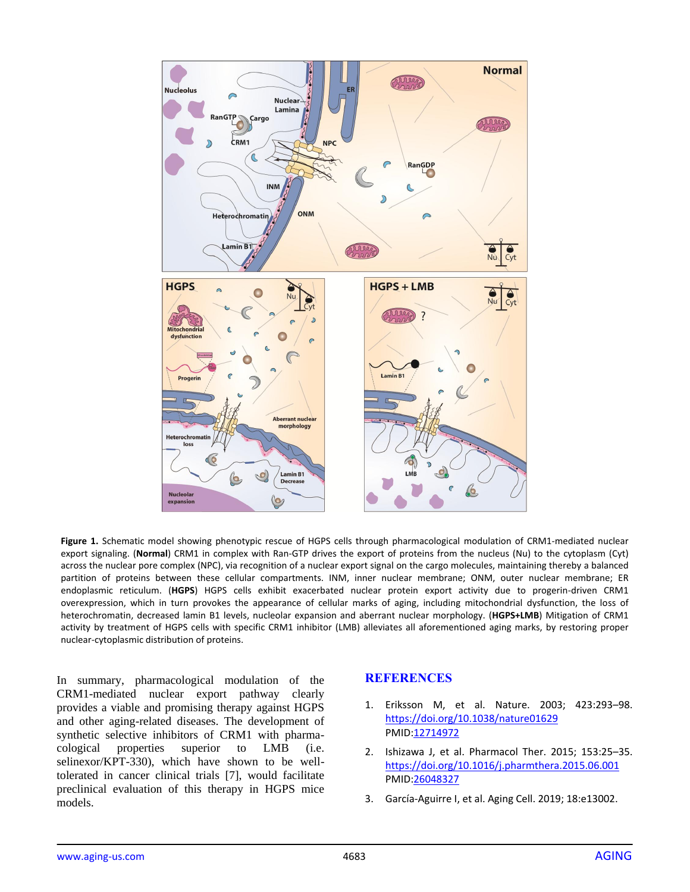

**Figure 1.** Schematic model showing phenotypic rescue of HGPS cells through pharmacological modulation of CRM1-mediated nuclear export signaling. (**Normal**) CRM1 in complex with Ran-GTP drives the export of proteins from the nucleus (Nu) to the cytoplasm (Cyt) across the nuclear pore complex (NPC), via recognition of a nuclear export signal on the cargo molecules, maintaining thereby a balanced partition of proteins between these cellular compartments. INM, inner nuclear membrane; ONM, outer nuclear membrane; ER endoplasmic reticulum. (**HGPS**) HGPS cells exhibit exacerbated nuclear protein export activity due to progerin-driven CRM1 overexpression, which in turn provokes the appearance of cellular marks of aging, including mitochondrial dysfunction, the loss of heterochromatin, decreased lamin B1 levels, nucleolar expansion and aberrant nuclear morphology. (**HGPS+LMB**) Mitigation of CRM1 activity by treatment of HGPS cells with specific CRM1 inhibitor (LMB) alleviates all aforementioned aging marks, by restoring proper nuclear-cytoplasmic distribution of proteins.

In summary, pharmacological modulation of the CRM1-mediated nuclear export pathway clearly provides a viable and promising therapy against HGPS and other aging-related diseases. The development of synthetic selective inhibitors of CRM1 with pharmacological properties superior to LMB (i.e. selinexor/KPT-330), which have shown to be welltolerated in cancer clinical trials [7], would facilitate preclinical evaluation of this therapy in HGPS mice models.

## **REFERENCES**

- 1. Eriksson M, et al. Nature. 2003; 423:293–98. <https://doi.org/10.1038/nature01629> PMID[:12714972](https://www.ncbi.nlm.nih.gov/entrez/query.fcgi?cmd=Retrieve&db=PubMed&list_uids=12714972&dopt=Abstract)
- 2. Ishizawa J, et al. Pharmacol Ther. 2015; 153:25–35. <https://doi.org/10.1016/j.pharmthera.2015.06.001> PMID[:26048327](https://www.ncbi.nlm.nih.gov/entrez/query.fcgi?cmd=Retrieve&db=PubMed&list_uids=26048327&dopt=Abstract)
- 3. García-Aguirre I, et al. Aging Cell. 2019; 18:e13002.